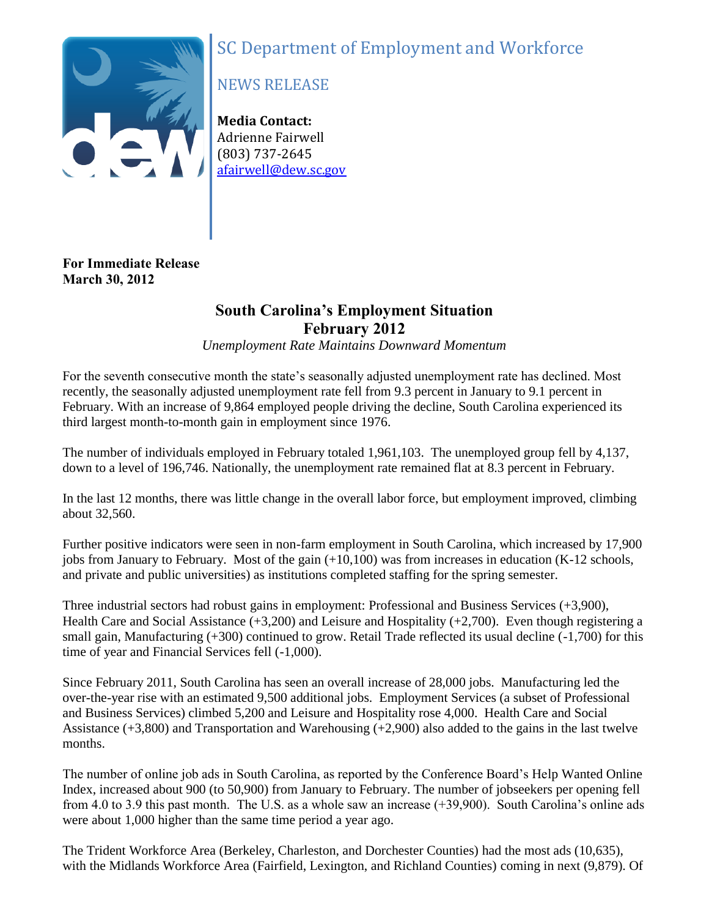# SC Department of Employment and Workforce



# NEWS RELEASE

**Media Contact:** Adrienne Fairwell (803) 737-2645 afairwell@dew.sc.gov

## **For Immediate Release March 30, 2012**

# **South Carolina's Employment Situation February 2012**

*Unemployment Rate Maintains Downward Momentum*

For the seventh consecutive month the state's seasonally adjusted unemployment rate has declined. Most recently, the seasonally adjusted unemployment rate fell from 9.3 percent in January to 9.1 percent in February. With an increase of 9,864 employed people driving the decline, South Carolina experienced its third largest month-to-month gain in employment since 1976.

The number of individuals employed in February totaled 1,961,103. The unemployed group fell by 4,137, down to a level of 196,746. Nationally, the unemployment rate remained flat at 8.3 percent in February.

In the last 12 months, there was little change in the overall labor force, but employment improved, climbing about 32,560.

Further positive indicators were seen in non-farm employment in South Carolina, which increased by 17,900 jobs from January to February. Most of the gain (+10,100) was from increases in education (K-12 schools, and private and public universities) as institutions completed staffing for the spring semester.

Three industrial sectors had robust gains in employment: Professional and Business Services (+3,900), Health Care and Social Assistance (+3,200) and Leisure and Hospitality (+2,700). Even though registering a small gain, Manufacturing (+300) continued to grow. Retail Trade reflected its usual decline (-1,700) for this time of year and Financial Services fell (-1,000).

Since February 2011, South Carolina has seen an overall increase of 28,000 jobs. Manufacturing led the over-the-year rise with an estimated 9,500 additional jobs. Employment Services (a subset of Professional and Business Services) climbed 5,200 and Leisure and Hospitality rose 4,000. Health Care and Social Assistance (+3,800) and Transportation and Warehousing (+2,900) also added to the gains in the last twelve months.

The number of online job ads in South Carolina, as reported by the Conference Board's Help Wanted Online Index, increased about 900 (to 50,900) from January to February. The number of jobseekers per opening fell from 4.0 to 3.9 this past month. The U.S. as a whole saw an increase (+39,900). South Carolina's online ads were about 1,000 higher than the same time period a year ago.

The Trident Workforce Area (Berkeley, Charleston, and Dorchester Counties) had the most ads (10,635), with the Midlands Workforce Area (Fairfield, Lexington, and Richland Counties) coming in next (9,879). Of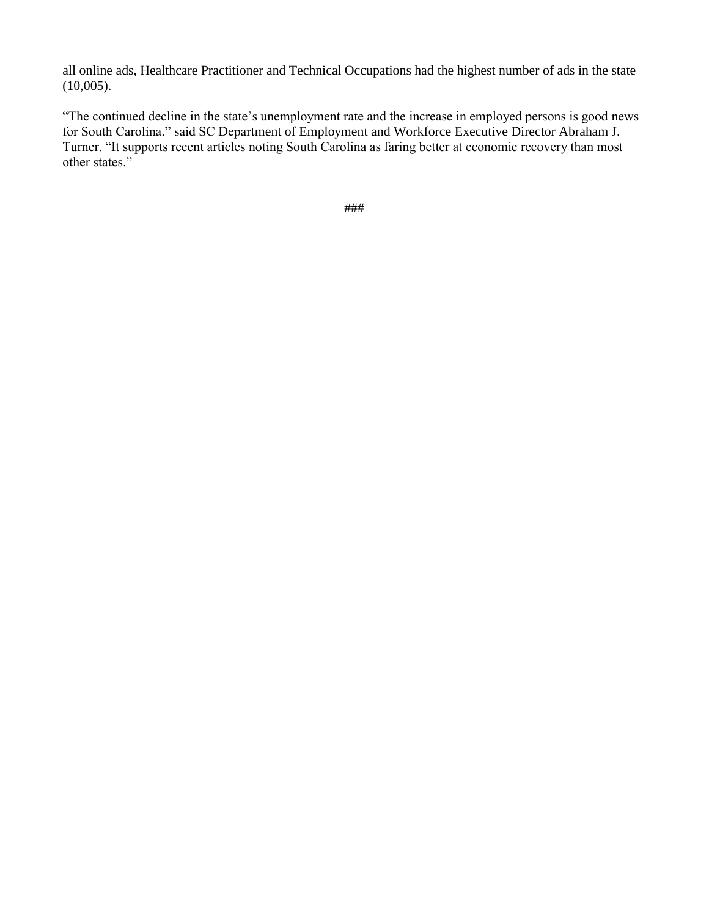all online ads, Healthcare Practitioner and Technical Occupations had the highest number of ads in the state (10,005).

"The continued decline in the state's unemployment rate and the increase in employed persons is good news for South Carolina." said SC Department of Employment and Workforce Executive Director Abraham J. Turner. "It supports recent articles noting South Carolina as faring better at economic recovery than most other states."

###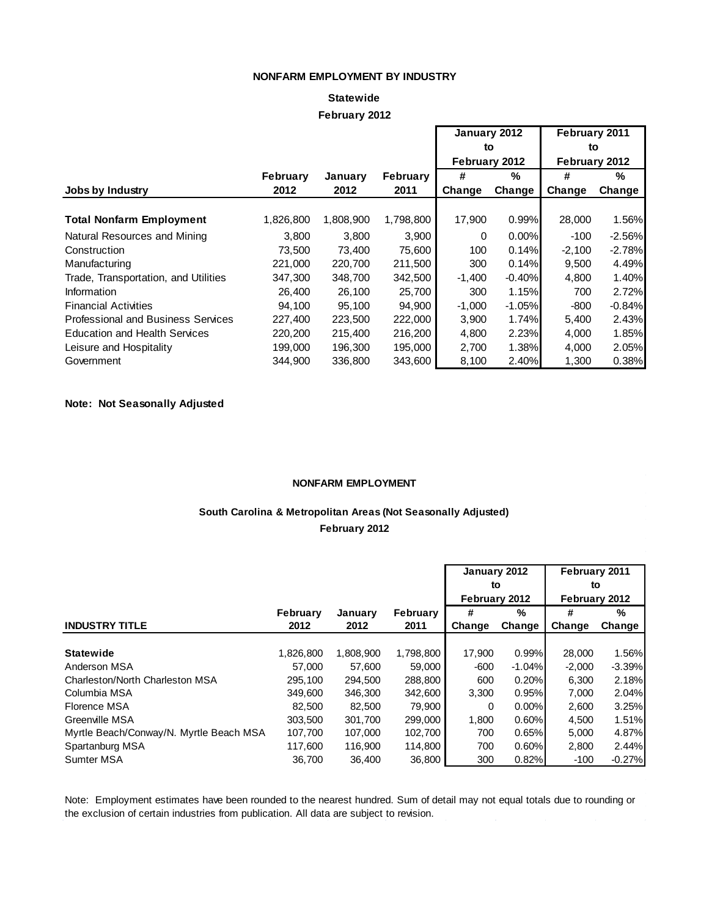#### **NONFARM EMPLOYMENT BY INDUSTRY**

### **February 2012 Statewide**

|                                           |                 |           |                 | January 2012  |          | February 2011 |          |  |
|-------------------------------------------|-----------------|-----------|-----------------|---------------|----------|---------------|----------|--|
|                                           |                 |           |                 | to            |          | to            |          |  |
|                                           |                 |           |                 | February 2012 |          | February 2012 |          |  |
|                                           | <b>February</b> | January   | <b>February</b> | #             | %        | #             | %        |  |
| Jobs by Industry                          | 2012            | 2012      | 2011            | Change        | Change   | Change        | Change   |  |
|                                           |                 |           |                 |               |          |               |          |  |
| <b>Total Nonfarm Employment</b>           | 1,826,800       | 1,808,900 | 1,798,800       | 17,900        | 0.99%    | 28,000        | 1.56%    |  |
| Natural Resources and Mining              | 3,800           | 3,800     | 3,900           | 0             | 0.00%    | $-100$        | $-2.56%$ |  |
| Construction                              | 73,500          | 73,400    | 75,600          | 100           | 0.14%    | $-2,100$      | $-2.78%$ |  |
| Manufacturing                             | 221.000         | 220,700   | 211.500         | 300           | 0.14%    | 9.500         | 4.49%    |  |
| Trade, Transportation, and Utilities      | 347,300         | 348,700   | 342,500         | $-1,400$      | $-0.40%$ | 4,800         | 1.40%    |  |
| Information                               | 26,400          | 26,100    | 25.700          | 300           | 1.15%    | 700           | 2.72%    |  |
| <b>Financial Activities</b>               | 94,100          | 95,100    | 94,900          | $-1,000$      | $-1.05%$ | $-800$        | $-0.84%$ |  |
| <b>Professional and Business Services</b> | 227,400         | 223,500   | 222,000         | 3,900         | 1.74%    | 5,400         | 2.43%    |  |
| <b>Education and Health Services</b>      | 220,200         | 215,400   | 216,200         | 4,800         | 2.23%    | 4,000         | 1.85%    |  |
| Leisure and Hospitality                   | 199,000         | 196,300   | 195,000         | 2,700         | 1.38%    | 4,000         | 2.05%    |  |
| Government                                | 344,900         | 336,800   | 343,600         | 8,100         | 2.40%    | 1,300         | 0.38%    |  |

#### **Note: Not Seasonally Adjusted**

#### **NONFARM EMPLOYMENT**

### **South Carolina & Metropolitan Areas (Not Seasonally Adjusted) February 2012**

|                                         |           |           |                 | January 2012  |          | February 2011<br>to<br>February 2012 |          |  |
|-----------------------------------------|-----------|-----------|-----------------|---------------|----------|--------------------------------------|----------|--|
|                                         |           |           |                 | to            |          |                                      |          |  |
|                                         |           |           |                 | February 2012 |          |                                      |          |  |
|                                         | February  | January   | <b>February</b> | %<br>#        |          | #                                    | %        |  |
| <b>INDUSTRY TITLE</b>                   | 2012      | 2012      | 2011            | Change        | Change   | Change                               | Change   |  |
|                                         |           |           |                 |               |          |                                      |          |  |
| <b>Statewide</b>                        | 1,826,800 | 1,808,900 | 1,798,800       | 17,900        | 0.99%    | 28,000                               | 1.56%    |  |
| Anderson MSA                            | 57.000    | 57.600    | 59.000          | -600          | $-1.04%$ | $-2.000$                             | $-3.39%$ |  |
| Charleston/North Charleston MSA         | 295,100   | 294,500   | 288,800         | 600           | 0.20%    | 6,300                                | 2.18%    |  |
| Columbia MSA                            | 349,600   | 346,300   | 342,600         | 3,300         | 0.95%    | 7,000                                | 2.04%    |  |
| Florence MSA                            | 82.500    | 82.500    | 79,900          | 0             | 0.00%    | 2,600                                | 3.25%    |  |
| Greenville MSA                          | 303.500   | 301.700   | 299,000         | 1,800         | 0.60%    | 4,500                                | 1.51%    |  |
| Myrtle Beach/Conway/N. Myrtle Beach MSA | 107,700   | 107,000   | 102,700         | 700           | 0.65%    | 5,000                                | 4.87%    |  |
| Spartanburg MSA                         | 117,600   | 116,900   | 114,800         | 700           | 0.60%    | 2,800                                | 2.44%    |  |
| Sumter MSA                              | 36.700    | 36.400    | 36,800          | 300           | 0.82%    | $-100$                               | $-0.27%$ |  |

Note: Employment estimates have been rounded to the nearest hundred. Sum of detail may not equal totals due to rounding or the exclusion of certain industries from publication. All data are subject to revision.